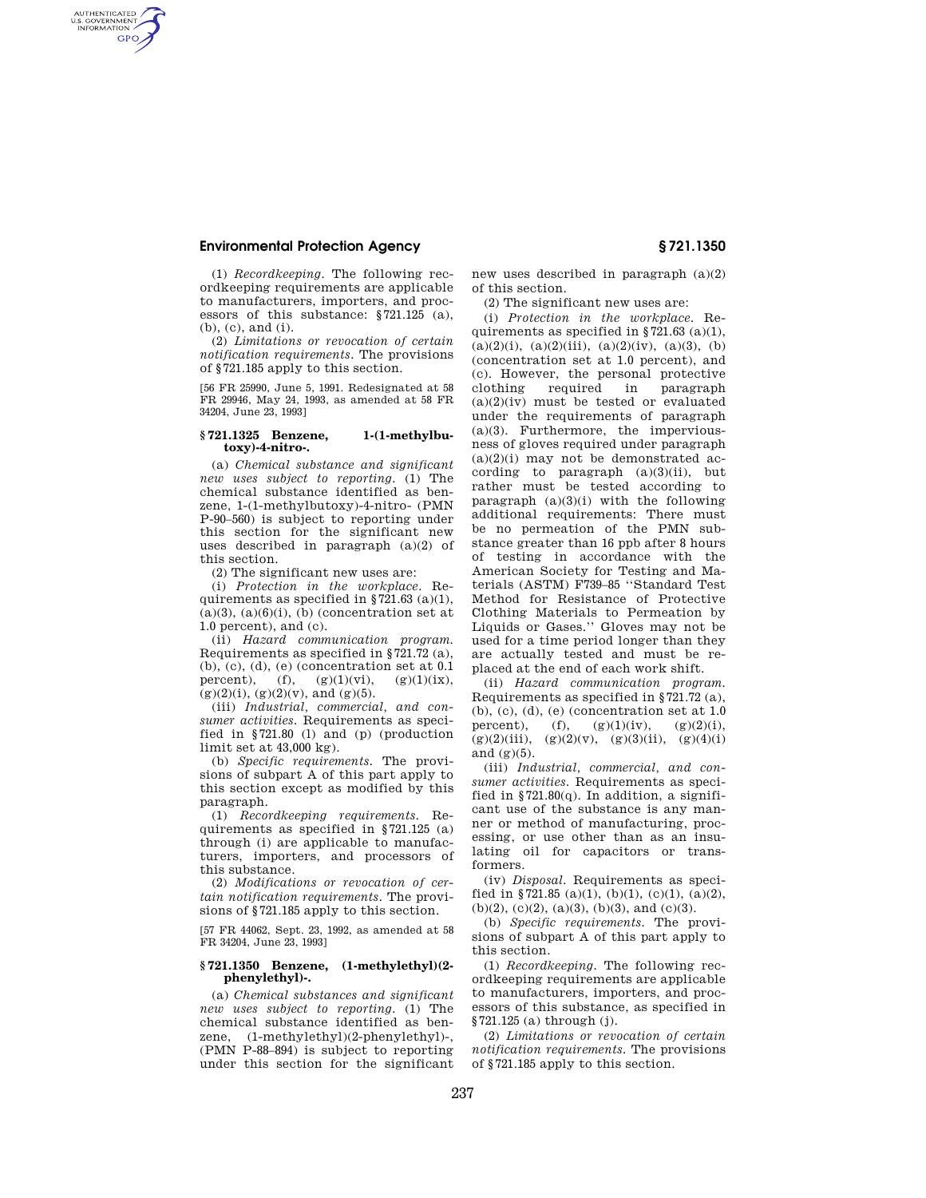# **Environmental Protection Agency § 721.1350**

AUTHENTICATED<br>U.S. GOVERNMENT<br>INFORMATION **GPO** 

> (1) *Recordkeeping.* The following recordkeeping requirements are applicable to manufacturers, importers, and processors of this substance: §721.125 (a), (b), (c), and (i).

> (2) *Limitations or revocation of certain notification requirements.* The provisions of §721.185 apply to this section.

> [56 FR 25990, June 5, 1991. Redesignated at 58 FR 29946, May 24, 1993, as amended at 58 FR 34204, June 23, 1993]

## **§ 721.1325 Benzene, 1-(1-methylbutoxy)-4-nitro-.**

(a) *Chemical substance and significant new uses subject to reporting.* (1) The chemical substance identified as benzene, 1-(1-methylbutoxy)-4-nitro- (PMN P-90–560) is subject to reporting under this section for the significant new uses described in paragraph (a)(2) of this section.

(2) The significant new uses are:

(i) *Protection in the workplace.* Requirements as specified in  $\S 721.63$  (a)(1),  $(a)(3)$ ,  $(a)(6)(i)$ ,  $(b)$  (concentration set at 1.0 percent), and (c).

(ii) *Hazard communication program.*  Requirements as specified in §721.72 (a), (b), (c), (d), (e) (concentration set at 0.1 percent), (f),  $(g)(1)(vi)$ ,  $(g)(1)(ix)$ , percent),  $(f)$ ,  $(g)(1)(vi)$ ,  $(g)(2)(i)$ ,  $(g)(2)(v)$ , and  $(g)(5)$ .

(iii) *Industrial, commercial, and consumer activities.* Requirements as specified in §721.80 (l) and (p) (production limit set at 43,000 kg).

(b) *Specific requirements.* The provisions of subpart A of this part apply to this section except as modified by this paragraph.

(1) *Recordkeeping requirements.* Requirements as specified in §721.125 (a) through (i) are applicable to manufacturers, importers, and processors of this substance.

(2) *Modifications or revocation of certain notification requirements.* The provisions of §721.185 apply to this section.

[57 FR 44062, Sept. 23, 1992, as amended at 58 FR 34204, June 23, 1993]

### **§ 721.1350 Benzene, (1-methylethyl)(2 phenylethyl)-.**

(a) *Chemical substances and significant new uses subject to reporting.* (1) The chemical substance identified as benzene, (1-methylethyl)(2-phenylethyl)-, (PMN P-88–894) is subject to reporting under this section for the significant new uses described in paragraph (a)(2) of this section.

(2) The significant new uses are:

(i) *Protection in the workplace.* Requirements as specified in §721.63 (a)(1),  $(a)(2)(i)$ ,  $(a)(2)(iii)$ ,  $(a)(2)(iv)$ ,  $(a)(3)$ ,  $(b)$ (concentration set at 1.0 percent), and (c). However, the personal protective clothing required in paragraph  $(a)(2)(iv)$  must be tested or evaluated under the requirements of paragraph (a)(3). Furthermore, the imperviousness of gloves required under paragraph  $(a)(2)(i)$  may not be demonstrated according to paragraph  $(a)(3)(ii)$ , but rather must be tested according to paragraph  $(a)(3)(i)$  with the following additional requirements: There must be no permeation of the PMN substance greater than 16 ppb after 8 hours of testing in accordance with the American Society for Testing and Materials (ASTM) F739–85 ''Standard Test Method for Resistance of Protective Clothing Materials to Permeation by Liquids or Gases.'' Gloves may not be used for a time period longer than they are actually tested and must be replaced at the end of each work shift.

(ii) *Hazard communication program.*  Requirements as specified in §721.72 (a), (b), (c), (d), (e) (concentration set at 1.0 percent), (f),  $(g)(1)(iv)$ ,  $(g)(2)(i)$ ,  $(g)(2)(iii)$ ,  $(g)(2)(v)$ ,  $(g)(3)(ii)$ ,  $(g)(4)(i)$ and  $(g)(5)$ .

(iii) *Industrial, commercial, and consumer activities.* Requirements as specified in  $$721.80(q)$ . In addition, a significant use of the substance is any manner or method of manufacturing, processing, or use other than as an insulating oil for capacitors or transformers.

(iv) *Disposal.* Requirements as specified in §721.85 (a)(1), (b)(1), (c)(1), (a)(2), (b)(2), (c)(2), (a)(3), (b)(3), and (c)(3).

(b) *Specific requirements.* The provisions of subpart A of this part apply to this section.

(1) *Recordkeeping.* The following recordkeeping requirements are applicable to manufacturers, importers, and processors of this substance, as specified in §721.125 (a) through (j).

(2) *Limitations or revocation of certain notification requirements.* The provisions of §721.185 apply to this section.